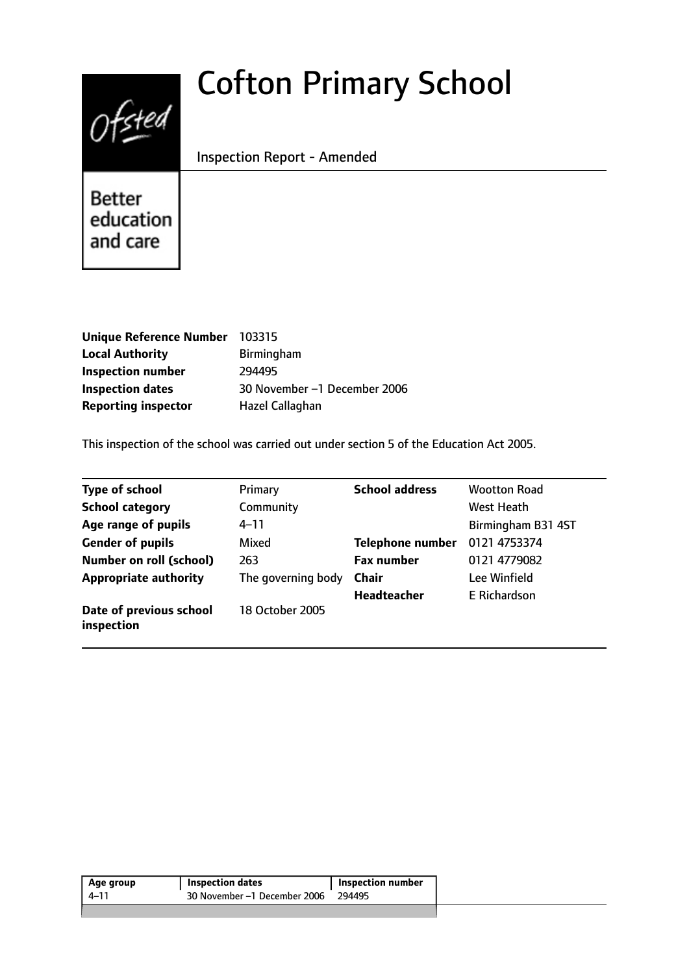# $0$ fsted

# Cofton Primary School

Inspection Report - Amended

**Better** education and care

| Unique Reference Number 103315 |                              |
|--------------------------------|------------------------------|
| <b>Local Authority</b>         | Birmingham                   |
| <b>Inspection number</b>       | 294495                       |
| <b>Inspection dates</b>        | 30 November -1 December 2006 |
| <b>Reporting inspector</b>     | Hazel Callaghan              |

This inspection of the school was carried out under section 5 of the Education Act 2005.

| <b>Type of school</b>                 | Primary            | <b>School address</b>   | <b>Wootton Road</b> |
|---------------------------------------|--------------------|-------------------------|---------------------|
| <b>School category</b>                | Community          |                         | West Heath          |
| Age range of pupils                   | $4 - 11$           |                         | Birmingham B31 4ST  |
| <b>Gender of pupils</b>               | Mixed              | <b>Telephone number</b> | 0121 4753374        |
| <b>Number on roll (school)</b>        | 263                | <b>Fax number</b>       | 0121 4779082        |
| <b>Appropriate authority</b>          | The governing body | <b>Chair</b>            | Lee Winfield        |
|                                       |                    | <b>Headteacher</b>      | E Richardson        |
| Date of previous school<br>inspection | 18 October 2005    |                         |                     |

| Age group | Inspection dates             | Inspection number |
|-----------|------------------------------|-------------------|
| $4 - 11$  | 30 November –1 December 2006 | 294495            |
|           |                              |                   |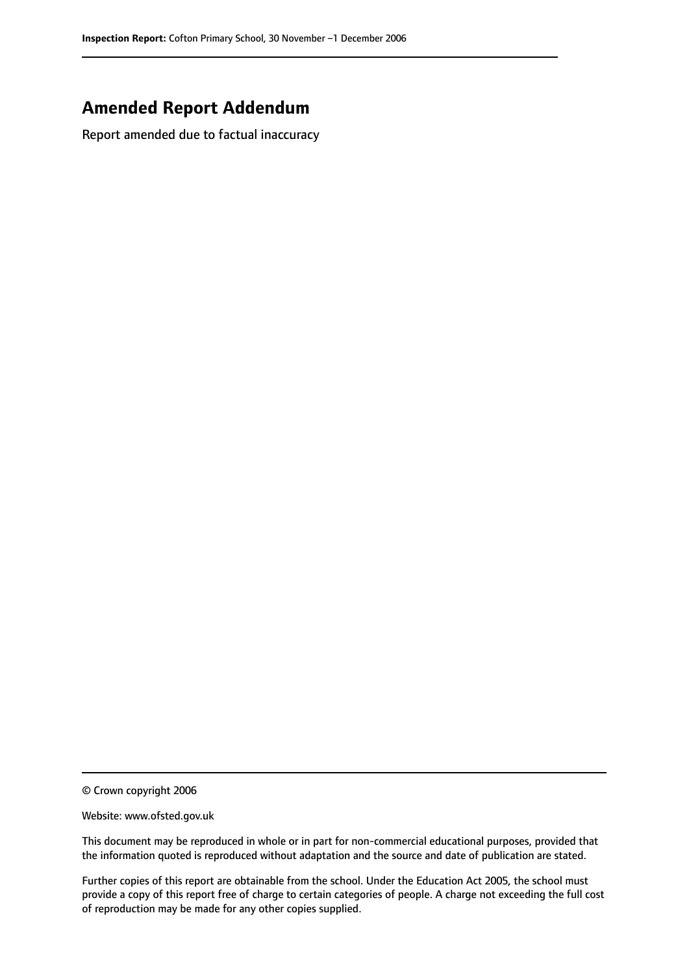# **Amended Report Addendum**

Report amended due to factual inaccuracy

© Crown copyright 2006

Website: www.ofsted.gov.uk

This document may be reproduced in whole or in part for non-commercial educational purposes, provided that the information quoted is reproduced without adaptation and the source and date of publication are stated.

Further copies of this report are obtainable from the school. Under the Education Act 2005, the school must provide a copy of this report free of charge to certain categories of people. A charge not exceeding the full cost of reproduction may be made for any other copies supplied.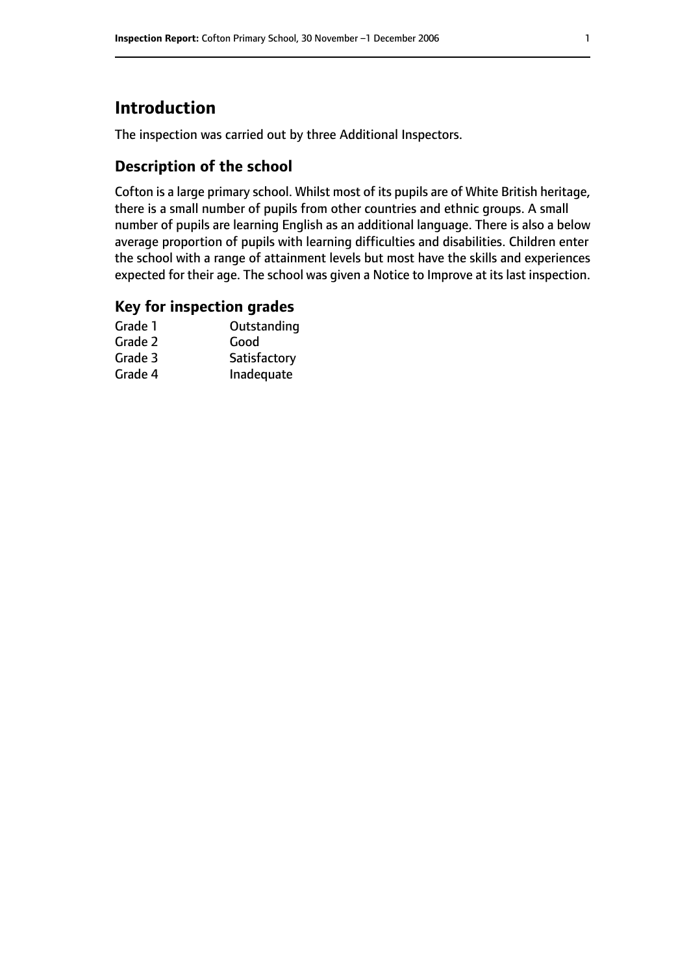# **Introduction**

The inspection was carried out by three Additional Inspectors.

# **Description of the school**

Cofton is a large primary school. Whilst most of its pupils are of White British heritage, there is a small number of pupils from other countries and ethnic groups. A small number of pupils are learning English as an additional language. There is also a below average proportion of pupils with learning difficulties and disabilities. Children enter the school with a range of attainment levels but most have the skills and experiences expected for their age. The school was given a Notice to Improve at its last inspection.

### **Key for inspection grades**

| Outstanding  |
|--------------|
| Good         |
| Satisfactory |
| Inadequate   |
|              |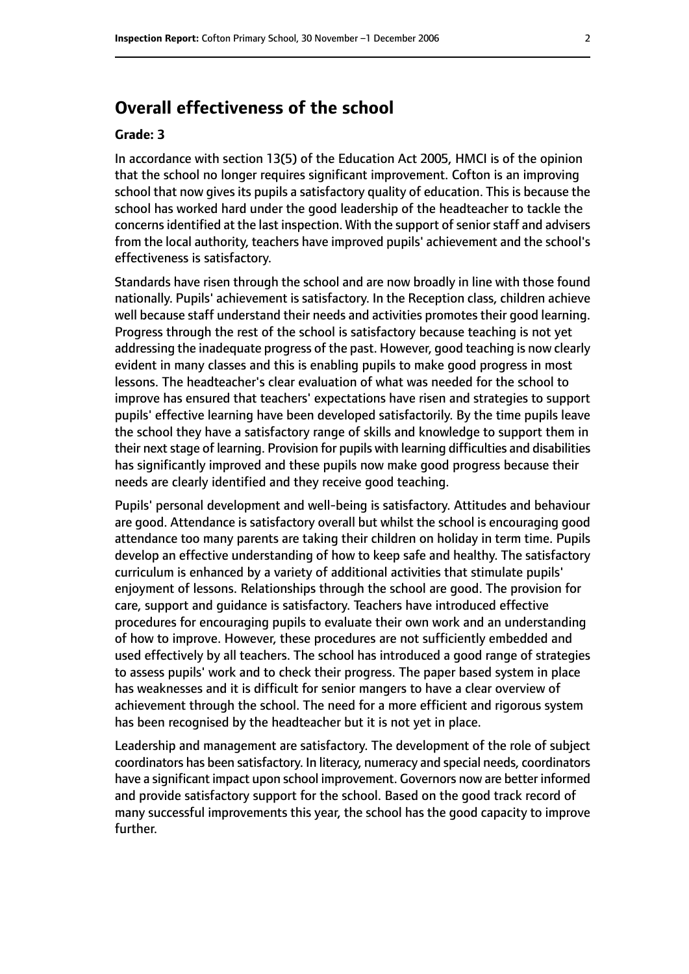# **Overall effectiveness of the school**

#### **Grade: 3**

In accordance with section 13(5) of the Education Act 2005, HMCI is of the opinion that the school no longer requires significant improvement. Cofton is an improving school that now gives its pupils a satisfactory quality of education. This is because the school has worked hard under the good leadership of the headteacher to tackle the concerns identified at the last inspection. With the support of senior staff and advisers from the local authority, teachers have improved pupils' achievement and the school's effectiveness is satisfactory.

Standards have risen through the school and are now broadly in line with those found nationally. Pupils' achievement is satisfactory. In the Reception class, children achieve well because staff understand their needs and activities promotes their good learning. Progress through the rest of the school is satisfactory because teaching is not yet addressing the inadequate progress of the past. However, good teaching is now clearly evident in many classes and this is enabling pupils to make good progress in most lessons. The headteacher's clear evaluation of what was needed for the school to improve has ensured that teachers' expectations have risen and strategies to support pupils' effective learning have been developed satisfactorily. By the time pupils leave the school they have a satisfactory range of skills and knowledge to support them in their next stage of learning. Provision for pupils with learning difficulties and disabilities has significantly improved and these pupils now make good progress because their needs are clearly identified and they receive good teaching.

Pupils' personal development and well-being is satisfactory. Attitudes and behaviour are good. Attendance is satisfactory overall but whilst the school is encouraging good attendance too many parents are taking their children on holiday in term time. Pupils develop an effective understanding of how to keep safe and healthy. The satisfactory curriculum is enhanced by a variety of additional activities that stimulate pupils' enjoyment of lessons. Relationships through the school are good. The provision for care, support and guidance is satisfactory. Teachers have introduced effective procedures for encouraging pupils to evaluate their own work and an understanding of how to improve. However, these procedures are not sufficiently embedded and used effectively by all teachers. The school has introduced a good range of strategies to assess pupils' work and to check their progress. The paper based system in place has weaknesses and it is difficult for senior mangers to have a clear overview of achievement through the school. The need for a more efficient and rigorous system has been recognised by the headteacher but it is not yet in place.

Leadership and management are satisfactory. The development of the role of subject coordinators has been satisfactory. In literacy, numeracy and special needs, coordinators have a significant impact upon school improvement. Governors now are better informed and provide satisfactory support for the school. Based on the good track record of many successful improvements this year, the school has the good capacity to improve further.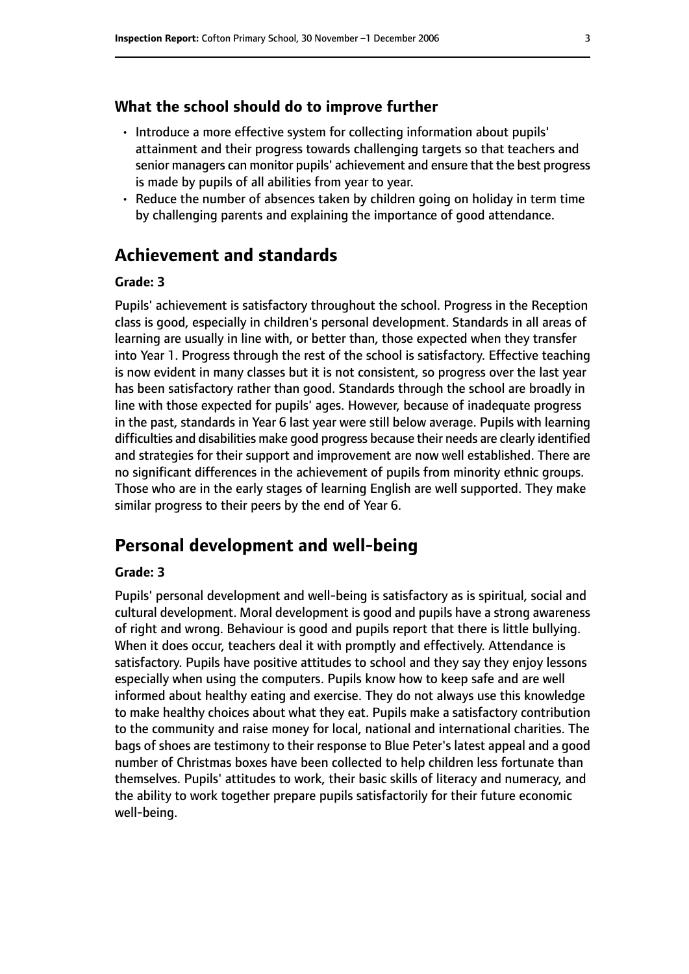#### **What the school should do to improve further**

- Introduce a more effective system for collecting information about pupils' attainment and their progress towards challenging targets so that teachers and senior managers can monitor pupils' achievement and ensure that the best progress is made by pupils of all abilities from year to year.
- Reduce the number of absences taken by children going on holiday in term time by challenging parents and explaining the importance of good attendance.

# **Achievement and standards**

#### **Grade: 3**

Pupils' achievement is satisfactory throughout the school. Progress in the Reception class is good, especially in children's personal development. Standards in all areas of learning are usually in line with, or better than, those expected when they transfer into Year 1. Progress through the rest of the school is satisfactory. Effective teaching is now evident in many classes but it is not consistent, so progress over the last year has been satisfactory rather than good. Standards through the school are broadly in line with those expected for pupils' ages. However, because of inadequate progress in the past, standards in Year 6 last year were still below average. Pupils with learning difficulties and disabilities make good progress because their needs are clearly identified and strategies for their support and improvement are now well established. There are no significant differences in the achievement of pupils from minority ethnic groups. Those who are in the early stages of learning English are well supported. They make similar progress to their peers by the end of Year 6.

# **Personal development and well-being**

#### **Grade: 3**

Pupils' personal development and well-being is satisfactory as is spiritual, social and cultural development. Moral development is good and pupils have a strong awareness of right and wrong. Behaviour is good and pupils report that there is little bullying. When it does occur, teachers deal it with promptly and effectively. Attendance is satisfactory. Pupils have positive attitudes to school and they say they enjoy lessons especially when using the computers. Pupils know how to keep safe and are well informed about healthy eating and exercise. They do not always use this knowledge to make healthy choices about what they eat. Pupils make a satisfactory contribution to the community and raise money for local, national and international charities. The bags of shoes are testimony to their response to Blue Peter's latest appeal and a good number of Christmas boxes have been collected to help children less fortunate than themselves. Pupils' attitudes to work, their basic skills of literacy and numeracy, and the ability to work together prepare pupils satisfactorily for their future economic well-being.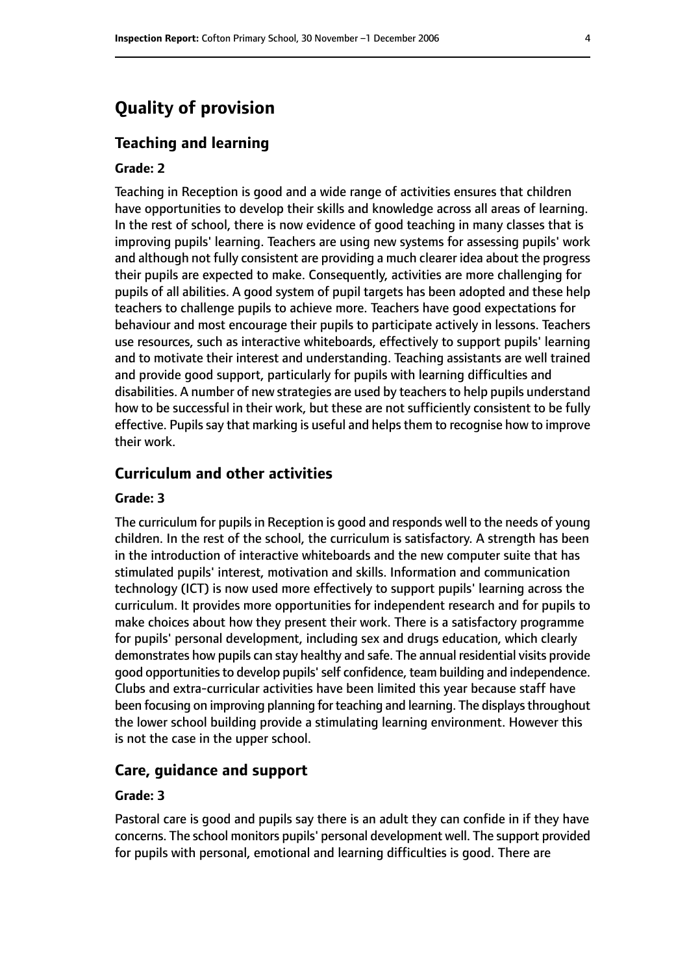# **Quality of provision**

#### **Teaching and learning**

#### **Grade: 2**

Teaching in Reception is good and a wide range of activities ensures that children have opportunities to develop their skills and knowledge across all areas of learning. In the rest of school, there is now evidence of good teaching in many classes that is improving pupils' learning. Teachers are using new systems for assessing pupils' work and although not fully consistent are providing a much clearer idea about the progress their pupils are expected to make. Consequently, activities are more challenging for pupils of all abilities. A good system of pupil targets has been adopted and these help teachers to challenge pupils to achieve more. Teachers have good expectations for behaviour and most encourage their pupils to participate actively in lessons. Teachers use resources, such as interactive whiteboards, effectively to support pupils' learning and to motivate their interest and understanding. Teaching assistants are well trained and provide good support, particularly for pupils with learning difficulties and disabilities. A number of new strategies are used by teachers to help pupils understand how to be successful in their work, but these are not sufficiently consistent to be fully effective. Pupils say that marking is useful and helps them to recognise how to improve their work.

# **Curriculum and other activities**

#### **Grade: 3**

The curriculum for pupils in Reception is good and responds well to the needs of young children. In the rest of the school, the curriculum is satisfactory. A strength has been in the introduction of interactive whiteboards and the new computer suite that has stimulated pupils' interest, motivation and skills. Information and communication technology (ICT) is now used more effectively to support pupils' learning across the curriculum. It provides more opportunities for independent research and for pupils to make choices about how they present their work. There is a satisfactory programme for pupils' personal development, including sex and drugs education, which clearly demonstrates how pupils can stay healthy and safe. The annual residential visits provide good opportunities to develop pupils' self confidence, team building and independence. Clubs and extra-curricular activities have been limited this year because staff have been focusing on improving planning for teaching and learning. The displays throughout the lower school building provide a stimulating learning environment. However this is not the case in the upper school.

#### **Care, guidance and support**

#### **Grade: 3**

Pastoral care is good and pupils say there is an adult they can confide in if they have concerns. The school monitors pupils' personal development well. The support provided for pupils with personal, emotional and learning difficulties is good. There are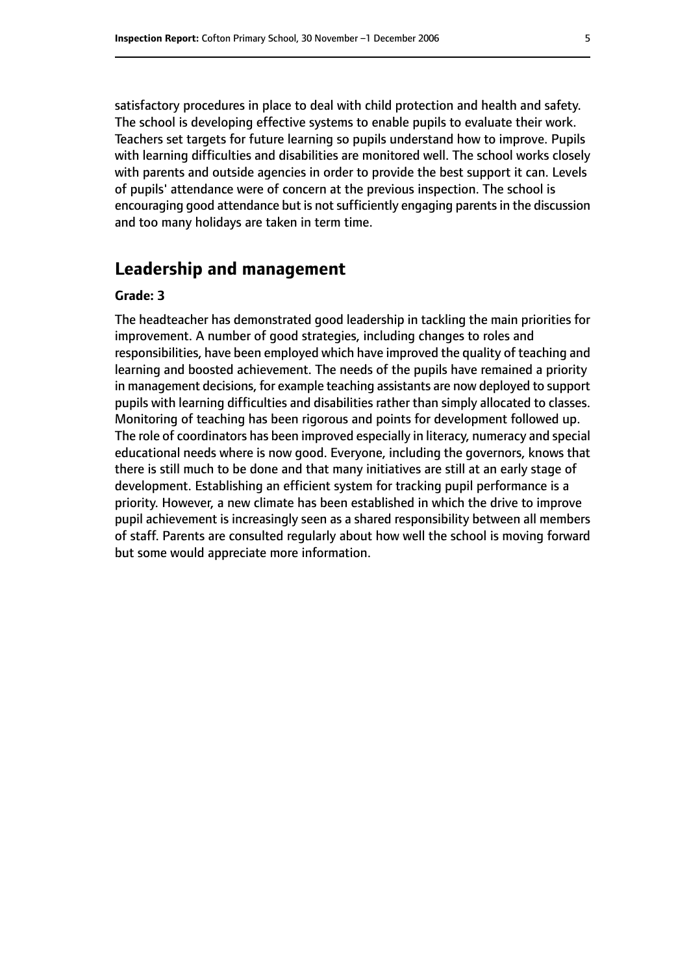satisfactory procedures in place to deal with child protection and health and safety. The school is developing effective systems to enable pupils to evaluate their work. Teachers set targets for future learning so pupils understand how to improve. Pupils with learning difficulties and disabilities are monitored well. The school works closely with parents and outside agencies in order to provide the best support it can. Levels of pupils' attendance were of concern at the previous inspection. The school is encouraging good attendance but is not sufficiently engaging parents in the discussion and too many holidays are taken in term time.

# **Leadership and management**

#### **Grade: 3**

The headteacher has demonstrated good leadership in tackling the main priorities for improvement. A number of good strategies, including changes to roles and responsibilities, have been employed which have improved the quality of teaching and learning and boosted achievement. The needs of the pupils have remained a priority in management decisions, for example teaching assistants are now deployed to support pupils with learning difficulties and disabilities rather than simply allocated to classes. Monitoring of teaching has been rigorous and points for development followed up. The role of coordinators has been improved especially in literacy, numeracy and special educational needs where is now good. Everyone, including the governors, knows that there is still much to be done and that many initiatives are still at an early stage of development. Establishing an efficient system for tracking pupil performance is a priority. However, a new climate has been established in which the drive to improve pupil achievement is increasingly seen as a shared responsibility between all members of staff. Parents are consulted regularly about how well the school is moving forward but some would appreciate more information.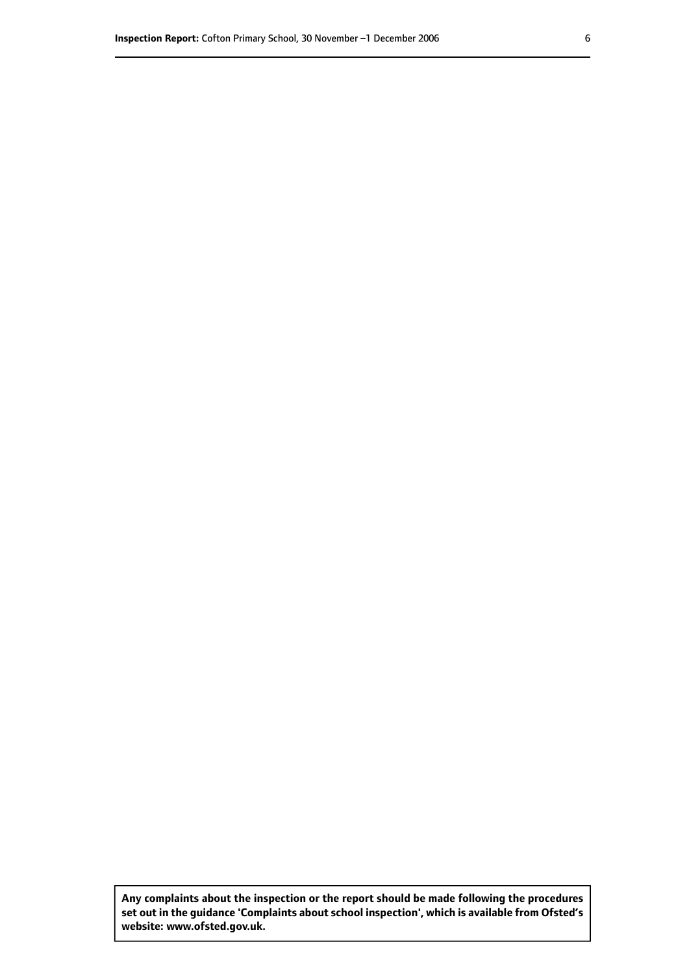**Any complaints about the inspection or the report should be made following the procedures set out inthe guidance 'Complaints about school inspection', whichis available from Ofsted's website: www.ofsted.gov.uk.**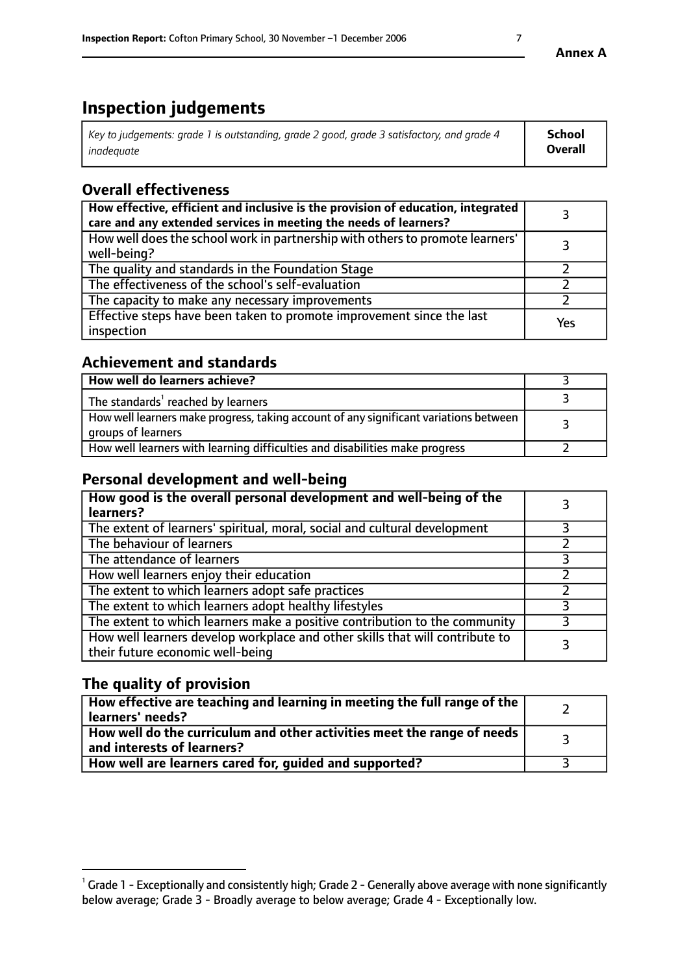# **Inspection judgements**

| Key to judgements: grade 1 is outstanding, grade 2 good, grade 3 satisfactory, and grade 4 | School         |
|--------------------------------------------------------------------------------------------|----------------|
| inadeauate                                                                                 | <b>Overall</b> |

# **Overall effectiveness**

| How effective, efficient and inclusive is the provision of education, integrated<br>care and any extended services in meeting the needs of learners? |     |
|------------------------------------------------------------------------------------------------------------------------------------------------------|-----|
| How well does the school work in partnership with others to promote learners'<br>well-being?                                                         |     |
| The quality and standards in the Foundation Stage                                                                                                    |     |
| The effectiveness of the school's self-evaluation                                                                                                    |     |
| The capacity to make any necessary improvements                                                                                                      |     |
| Effective steps have been taken to promote improvement since the last<br>inspection                                                                  | Yes |

# **Achievement and standards**

| How well do learners achieve?                                                                               |  |
|-------------------------------------------------------------------------------------------------------------|--|
| The standards <sup>1</sup> reached by learners                                                              |  |
| How well learners make progress, taking account of any significant variations between<br>groups of learners |  |
| How well learners with learning difficulties and disabilities make progress                                 |  |

# **Personal development and well-being**

| How good is the overall personal development and well-being of the<br>learners?                                  |  |
|------------------------------------------------------------------------------------------------------------------|--|
| The extent of learners' spiritual, moral, social and cultural development                                        |  |
| The behaviour of learners                                                                                        |  |
| The attendance of learners                                                                                       |  |
| How well learners enjoy their education                                                                          |  |
| The extent to which learners adopt safe practices                                                                |  |
| The extent to which learners adopt healthy lifestyles                                                            |  |
| The extent to which learners make a positive contribution to the community                                       |  |
| How well learners develop workplace and other skills that will contribute to<br>their future economic well-being |  |

# **The quality of provision**

| $\Box$ How effective are teaching and learning in meeting the full range of the $\Box$<br>  learners' needs?        |  |
|---------------------------------------------------------------------------------------------------------------------|--|
| $\mid$ How well do the curriculum and other activities meet the range of needs<br>$\mid$ and interests of learners? |  |
| How well are learners cared for, guided and supported?                                                              |  |

 $^1$  Grade 1 - Exceptionally and consistently high; Grade 2 - Generally above average with none significantly below average; Grade 3 - Broadly average to below average; Grade 4 - Exceptionally low.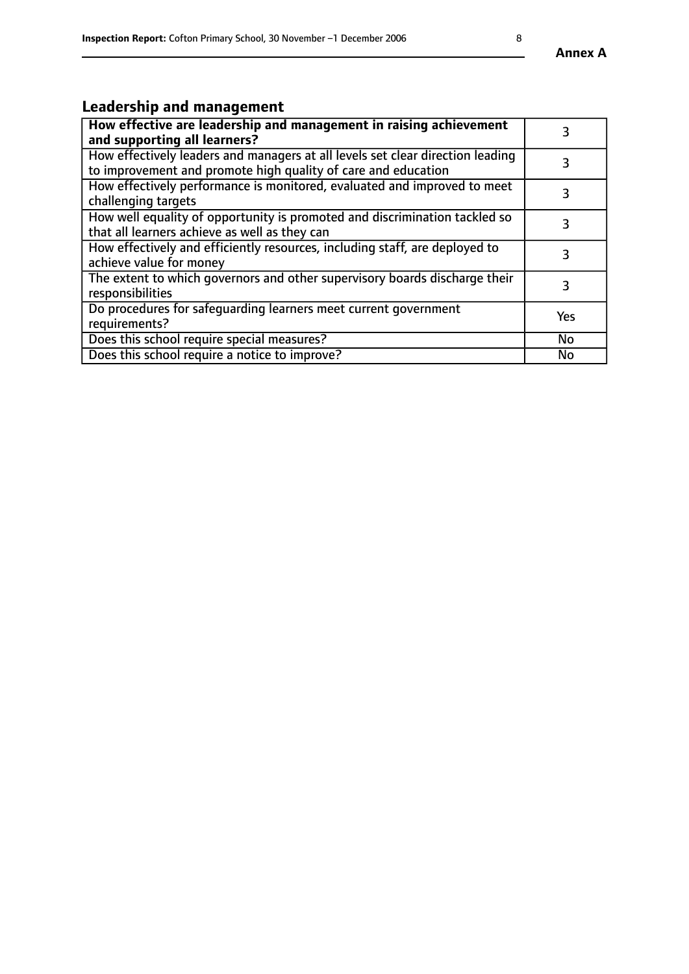# **Leadership and management**

| How effective are leadership and management in raising achievement<br>and supporting all learners?                                              |           |
|-------------------------------------------------------------------------------------------------------------------------------------------------|-----------|
| How effectively leaders and managers at all levels set clear direction leading<br>to improvement and promote high quality of care and education |           |
| How effectively performance is monitored, evaluated and improved to meet<br>challenging targets                                                 | 3         |
| How well equality of opportunity is promoted and discrimination tackled so<br>that all learners achieve as well as they can                     |           |
| How effectively and efficiently resources, including staff, are deployed to<br>achieve value for money                                          | 3         |
| The extent to which governors and other supervisory boards discharge their<br>responsibilities                                                  | 3         |
| Do procedures for safequarding learners meet current government<br>requirements?                                                                | Yes       |
| Does this school require special measures?                                                                                                      | No        |
| Does this school require a notice to improve?                                                                                                   | <b>No</b> |